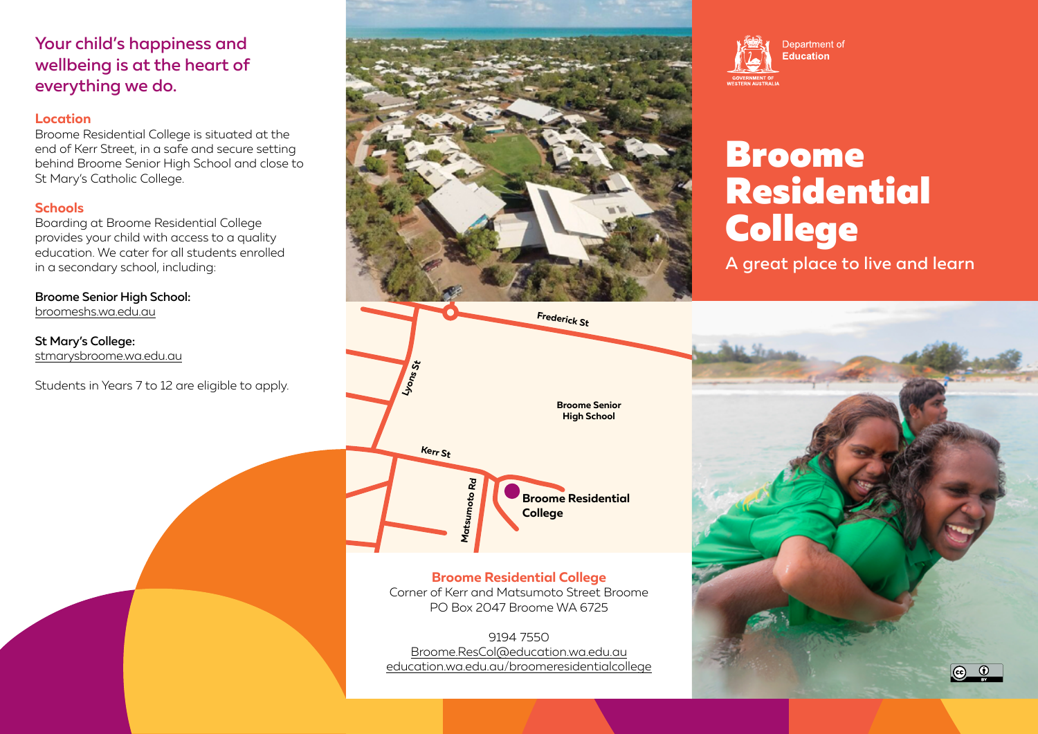## Your child's happiness and wellbeing is at the heart of everything we do.

#### **Location**

Broome Residential College is situated at the end of Kerr Street, in a safe and secure setting behind Broome Senior High School and close to St Mary's Catholic College.

### **Schools**

Boarding at Broome Residential College provides your child with access to a quality education. We cater for all students enrolled in a secondary school, including:

Broome Senior High School: [broomeshs.wa.edu.au](http://broomeshs.wa.edu.au)

#### St Mary's College: [stmarysbroome.wa.edu.au](http://stmarysbroome.wa.edu.au)

Students in Years 7 to 12 are eligible to apply.





# Broome Residential College

A great place to live and learn



#### **Broome Residential College** Corner of Kerr and Matsumoto Street Broome PO Box 2047 Broome WA 6725

9194 7550 [Broome.ResCol@education.wa.edu.au](mailto:Broome.ResCol%40education.wa.edu.au?subject=) [education.wa.edu.au/broomeresidentialcollege](http://education.wa.edu.au/broomeresidentialcollege)